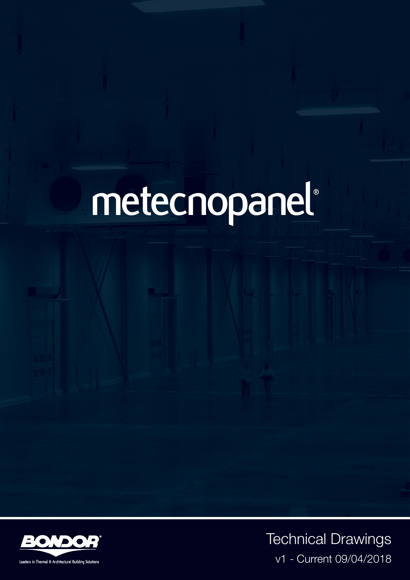# **metecnopanel ®**



Leaders in Thermal & Architectural Building Solution

Technical Drawings v1 - Current 09/04/2018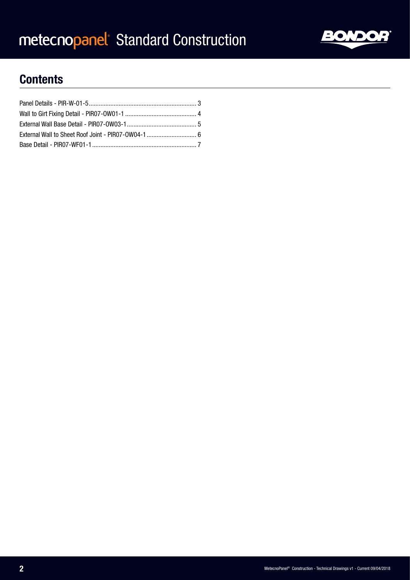

### **Contents**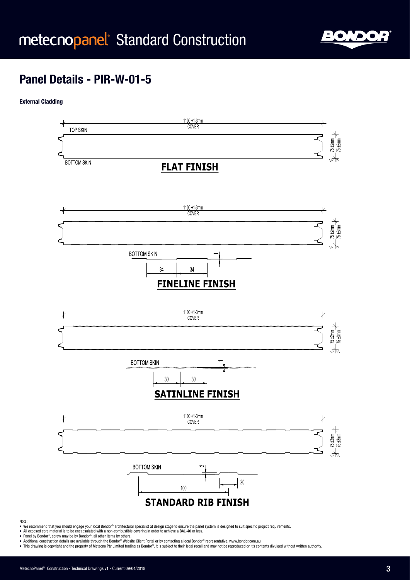

### **Panel Details - PIR-W-01-5**

#### **External Cladding**



#### Note:

- We recommend that you should engage your local Bondor® architectural specialist at design stage to ensure the panel system is designed to suit specific project requirements.
- All exposed core material is to be encapsulated with a non-combustible covering in order to achieve a BAL-40 or less. Panel by Bondor®, screw may be by Bondor®, all other items by others.
- 
- Additional construction details are available through the Bondor® Website Client Portal or by contacting a local Bondor® representative. www.bondor.com.au<br>• This drawing is copyright and the property of Metecno Pty Limit
-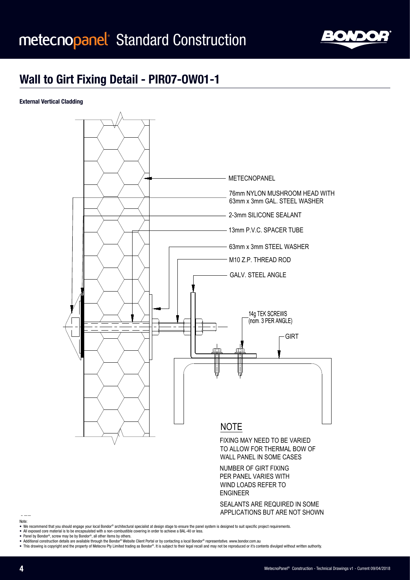

may not be reproduced or its contents divulged without

#### **Wall to Girt Fixing Detail - PIR07-OW01-1**

**External Vertical Cladding**



NUMBER OF GIRT FIXING PER PANEL VARIES WITH WIND LOADS REFER TO ENGINEER

SEALANTS ARE REQUIRED IN SOME APPLICATIONS BUT ARE NOT SHOWN

Note:

- . We recommend that you should engage your local Bondor® architectural specialist at design stage to ensure the panel system is designed to suit specific project requirements.
- All exposed core material is to be encapsulated with a non-combustible covering in order to achieve a BAL-40 or less.
- Panel by Bondor®, screw may be by Bondor®, all other items by others.
- Additional construction details are available through the Bondor® Website Client Portal or by contacting a local Bondor® representative. www.bondor.com.au
- This drawing is copyright and the property of Metecno Pty Limited trading as Bondor®. It is subject to their legal recall and may not be reproduced or it's contents divulged without written authority.

METECNOPANEL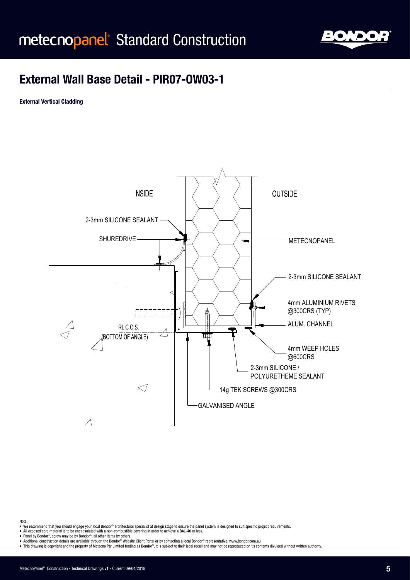

#### **External Wall Base Detail - PIR07-OW03-1**

**External Vertical Cladding**



Note:

- We recommend that you should engage your local Bondor® architectural specialist at design stage to ensure the panel system is designed to suit specific project requirements.
- All exposed core material is to be encapsulated with a non-combustible covering in order to achieve a BAL-40 or less.<br>• All exposed core material is to be encapsulated with a non-combustible covering in order to achieve
- 

 $A$ 

• Tanci by Bondor, server may be by Bondor, an other hern,

• Additional construction details are available through the Bondor® Website Client Portal or by contacting a local Bondor® representative. www.bondor.com.au<br>• This drawing is copyright and the property of Metecno Pty Limit This drawing is copyright and the property of Metecno Pt ® Website Client Portal or by contacting a local Bondor® representative. www.bondor.com.au<br>led trading as Bondor®. It is subject to their legal recall and may not be reproduced or it's contents divulged without written aut

03.04.2018

 $\mathbf{u}$  description Initial Initial Indian Initial Initial Indian Initial Indian Initial Indian Initial Indian Initial Indian Indian Indian Indian Indian Indian Indian Indian Indian Indian Indian Indian Indian Indian Ind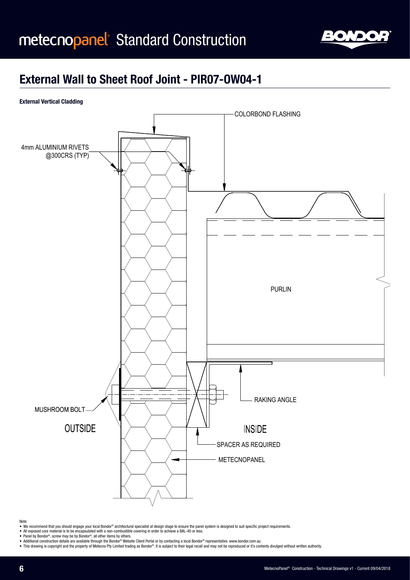

### **External Wall to Sheet Roof Joint - PIR07-OW04-1**

#### **External Vertical Cladding**



Note:

- We recommend that you should engage your local Bondor® architectural specialist at design stage to ensure the panel system is designed to suit specific project requirements.
- All exposed core material is to be encapsulated with a non-combustible covering in order to achieve a BAL-40 or less.<br>● Panel by Bondor®, screw may be by Bondor®, all other items by others.
- 
- 
- raner by sondor~, screw may be by sondor~, an onier nems by outers.<br>• Additional construction details are available through the Bondor® Mebsite Client Portal or by contacting a local Bondor® representative. www.bondor.

EXTERNAL WALL TO SHEET ROOF JOINT

BONDOR, ALL OTHER ITEMS BY OTHER ITEMS BY OTHER ITEMS BY OTHER ITEMS BY OTHER ITEMS BY OTHER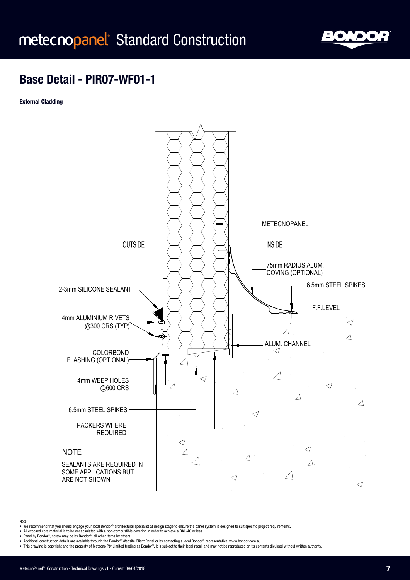

#### **Base Detail - PIR07-WF01-1**

**External Cladding**



- Note:
- We recommend that you should engage your local Bondor® architectural specialist at design stage to ensure the panel system is designed to suit specific project requirements.
- All exposed core material is to be encapsulated with a non-combustible covering in order to achieve a BAL-40 or less. Panel by Bondor®, screw may be by Bondor®, all other items by others.
- 
- omors.<br>® Website Client Portal or by contacting a local Bondor® rep<br>ed trading as Bondor®. It is subject to their legal recall and

Description

• Additional construction details are available through the Bondor® Website Client Portal or by contacting a local Bondor® representative. www.bondor.com.au<br>• This drawing is copyright and the property of Metecno Pty Limit

Date Rev Description Init

BONDOR, ALL OTHERS.